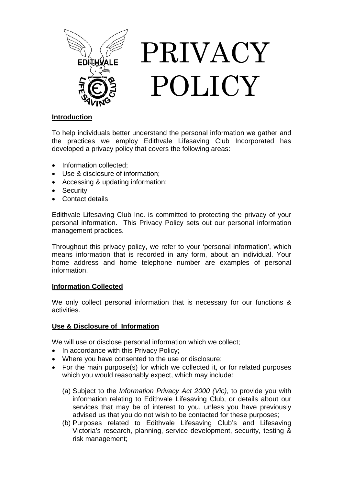

# **Introduction**

To help individuals better understand the personal information we gather and the practices we employ Edithvale Lifesaving Club Incorporated has developed a privacy policy that covers the following areas:

- Information collected:
- Use & disclosure of information;
- Accessing & updating information;
- Security
- Contact details

Edithvale Lifesaving Club Inc. is committed to protecting the privacy of your personal information. This Privacy Policy sets out our personal information management practices.

Throughout this privacy policy, we refer to your 'personal information', which means information that is recorded in any form, about an individual. Your home address and home telephone number are examples of personal information.

# **Information Collected**

We only collect personal information that is necessary for our functions & activities.

# **Use & Disclosure of Information**

We will use or disclose personal information which we collect;

- In accordance with this Privacy Policy;
- Where you have consented to the use or disclosure;
- For the main purpose(s) for which we collected it, or for related purposes which you would reasonably expect, which may include:
	- (a) Subject to the *Information Privacy Act 2000 (Vic)*, to provide you with information relating to Edithvale Lifesaving Club, or details about our services that may be of interest to you, unless you have previously advised us that you do not wish to be contacted for these purposes;
	- (b) Purposes related to Edithvale Lifesaving Club's and Lifesaving Victoria's research, planning, service development, security, testing & risk management;